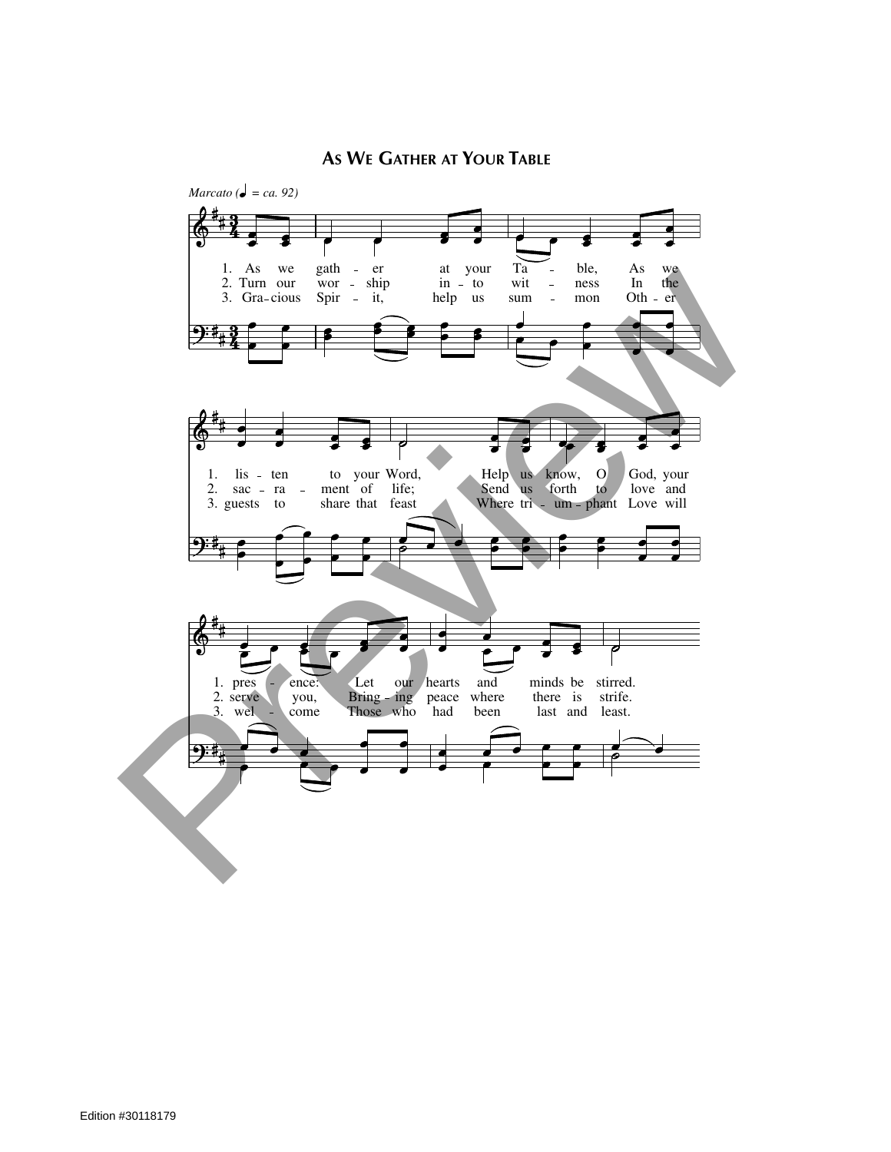

## AS WE GATHER AT YOUR TABLE